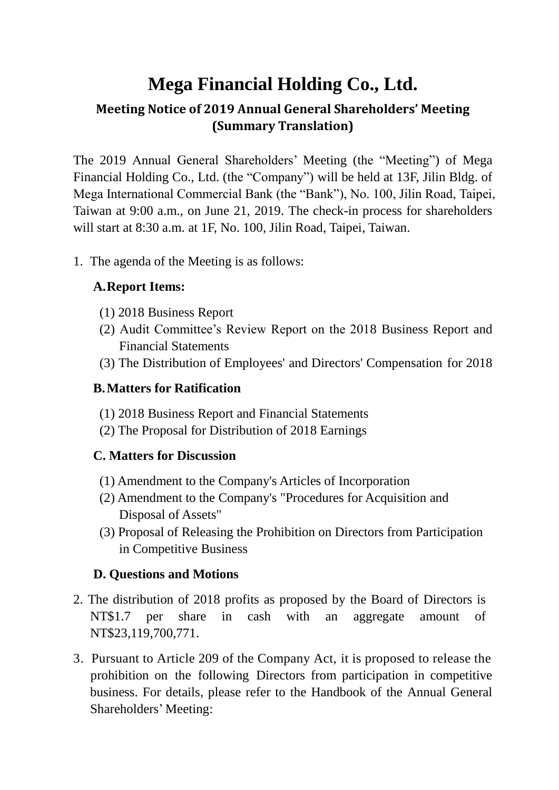# **Mega Financial Holding Co., Ltd.**

# **Meeting Notice of 2019 Annual General Shareholders' Meeting (Summary Translation)**

The 2019 Annual General Shareholders' Meeting (the "Meeting") of Mega Financial Holding Co., Ltd. (the "Company") will be held at 13F, Jilin Bldg. of Mega International Commercial Bank (the "Bank"), No. 100, Jilin Road, Taipei, Taiwan at 9:00 a.m., on June 21, 2019. The check-in process for shareholders will start at 8:30 a.m. at 1F, No. 100, Jilin Road, Taipei, Taiwan.

1. The agenda of the Meeting is as follows:

# **A.Report Items:**

- (1) 2018 Business Report
- (2) Audit Committee's Review Report on the 2018 Business Report and Financial Statements
- (3) The Distribution of Employees' and Directors' Compensation for 2018

#### **B.Matters for Ratification**

- (1) 2018 Business Report and Financial Statements
- (2) The Proposal for Distribution of 2018 Earnings

# **C. Matters for Discussion**

- (1) Amendment to the Company's Articles of Incorporation
- (2) Amendment to the Company's "Procedures for Acquisition and Disposal of Assets"
- (3) Proposal of Releasing the Prohibition on Directors from Participation in Competitive Business

# **D. Questions and Motions**

- 2. The distribution of 2018 profits as proposed by the Board of Directors is NT\$1.7 per share in cash with an aggregate amount of NT\$23,119,700,771.
- 3. Pursuant to Article 209 of the Company Act, it is proposed to release the prohibition on the following Directors from participation in competitive business. For details, please refer to the Handbook of the Annual General Shareholders' Meeting: